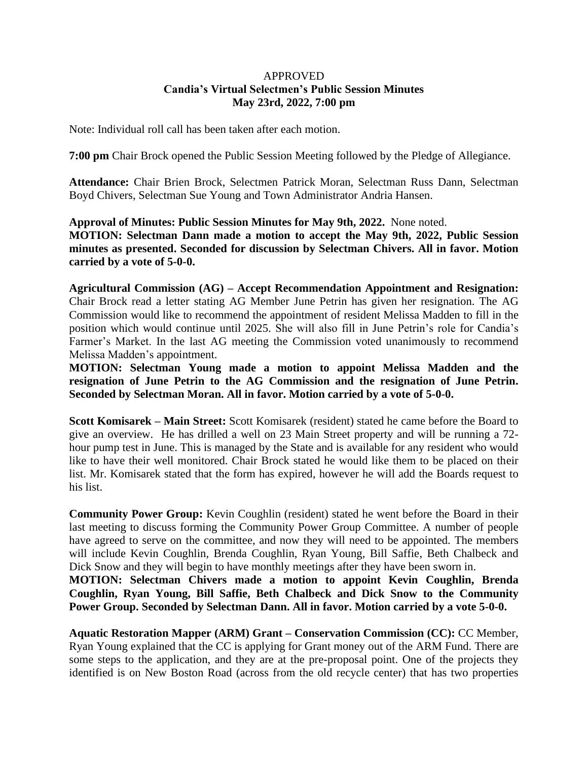## APPROVED **Candia's Virtual Selectmen's Public Session Minutes May 23rd, 2022, 7:00 pm**

Note: Individual roll call has been taken after each motion.

**7:00 pm** Chair Brock opened the Public Session Meeting followed by the Pledge of Allegiance.

**Attendance:** Chair Brien Brock, Selectmen Patrick Moran, Selectman Russ Dann, Selectman Boyd Chivers, Selectman Sue Young and Town Administrator Andria Hansen.

**Approval of Minutes: Public Session Minutes for May 9th, 2022.** None noted. **MOTION: Selectman Dann made a motion to accept the May 9th, 2022, Public Session minutes as presented. Seconded for discussion by Selectman Chivers. All in favor. Motion carried by a vote of 5-0-0.**

**Agricultural Commission (AG) – Accept Recommendation Appointment and Resignation:**  Chair Brock read a letter stating AG Member June Petrin has given her resignation. The AG Commission would like to recommend the appointment of resident Melissa Madden to fill in the position which would continue until 2025. She will also fill in June Petrin's role for Candia's Farmer's Market. In the last AG meeting the Commission voted unanimously to recommend Melissa Madden's appointment.

**MOTION: Selectman Young made a motion to appoint Melissa Madden and the resignation of June Petrin to the AG Commission and the resignation of June Petrin. Seconded by Selectman Moran. All in favor. Motion carried by a vote of 5-0-0.**

**Scott Komisarek – Main Street:** Scott Komisarek (resident) stated he came before the Board to give an overview. He has drilled a well on 23 Main Street property and will be running a 72 hour pump test in June. This is managed by the State and is available for any resident who would like to have their well monitored. Chair Brock stated he would like them to be placed on their list. Mr. Komisarek stated that the form has expired, however he will add the Boards request to his list.

**Community Power Group:** Kevin Coughlin (resident) stated he went before the Board in their last meeting to discuss forming the Community Power Group Committee. A number of people have agreed to serve on the committee, and now they will need to be appointed. The members will include Kevin Coughlin, Brenda Coughlin, Ryan Young, Bill Saffie, Beth Chalbeck and Dick Snow and they will begin to have monthly meetings after they have been sworn in.

**MOTION: Selectman Chivers made a motion to appoint Kevin Coughlin, Brenda Coughlin, Ryan Young, Bill Saffie, Beth Chalbeck and Dick Snow to the Community Power Group. Seconded by Selectman Dann. All in favor. Motion carried by a vote 5-0-0.**

**Aquatic Restoration Mapper (ARM) Grant – Conservation Commission (CC):** CC Member, Ryan Young explained that the CC is applying for Grant money out of the ARM Fund. There are some steps to the application, and they are at the pre-proposal point. One of the projects they identified is on New Boston Road (across from the old recycle center) that has two properties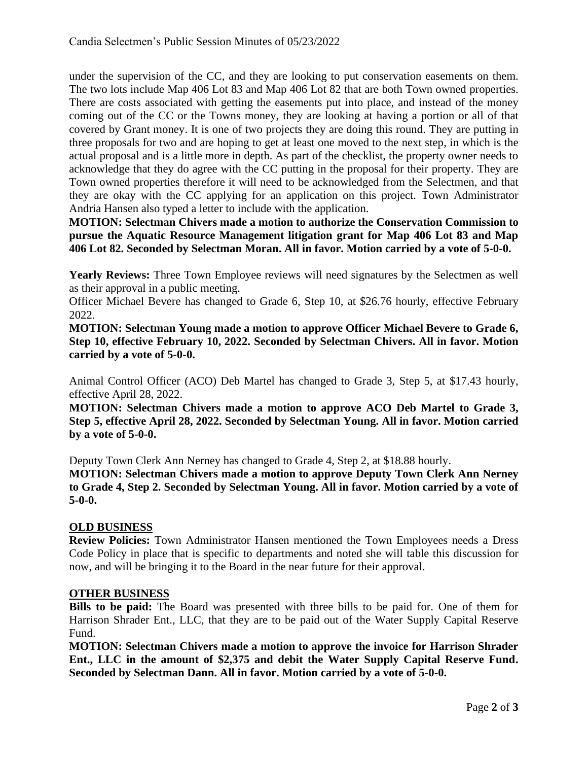under the supervision of the CC, and they are looking to put conservation easements on them. The two lots include Map 406 Lot 83 and Map 406 Lot 82 that are both Town owned properties. There are costs associated with getting the easements put into place, and instead of the money coming out of the CC or the Towns money, they are looking at having a portion or all of that covered by Grant money. It is one of two projects they are doing this round. They are putting in three proposals for two and are hoping to get at least one moved to the next step, in which is the actual proposal and is a little more in depth. As part of the checklist, the property owner needs to acknowledge that they do agree with the CC putting in the proposal for their property. They are Town owned properties therefore it will need to be acknowledged from the Selectmen, and that they are okay with the CC applying for an application on this project. Town Administrator Andria Hansen also typed a letter to include with the application.

**MOTION: Selectman Chivers made a motion to authorize the Conservation Commission to pursue the Aquatic Resource Management litigation grant for Map 406 Lot 83 and Map 406 Lot 82. Seconded by Selectman Moran. All in favor. Motion carried by a vote of 5-0-0.**

**Yearly Reviews:** Three Town Employee reviews will need signatures by the Selectmen as well as their approval in a public meeting.

Officer Michael Bevere has changed to Grade 6, Step 10, at \$26.76 hourly, effective February 2022.

**MOTION: Selectman Young made a motion to approve Officer Michael Bevere to Grade 6, Step 10, effective February 10, 2022. Seconded by Selectman Chivers. All in favor. Motion carried by a vote of 5-0-0.**

Animal Control Officer (ACO) Deb Martel has changed to Grade 3, Step 5, at \$17.43 hourly, effective April 28, 2022.

**MOTION: Selectman Chivers made a motion to approve ACO Deb Martel to Grade 3, Step 5, effective April 28, 2022. Seconded by Selectman Young. All in favor. Motion carried by a vote of 5-0-0.**

Deputy Town Clerk Ann Nerney has changed to Grade 4, Step 2, at \$18.88 hourly.

**MOTION: Selectman Chivers made a motion to approve Deputy Town Clerk Ann Nerney to Grade 4, Step 2. Seconded by Selectman Young. All in favor. Motion carried by a vote of 5-0-0.**

## **OLD BUSINESS**

**Review Policies:** Town Administrator Hansen mentioned the Town Employees needs a Dress Code Policy in place that is specific to departments and noted she will table this discussion for now, and will be bringing it to the Board in the near future for their approval.

## **OTHER BUSINESS**

**Bills to be paid:** The Board was presented with three bills to be paid for. One of them for Harrison Shrader Ent., LLC, that they are to be paid out of the Water Supply Capital Reserve Fund.

**MOTION: Selectman Chivers made a motion to approve the invoice for Harrison Shrader Ent., LLC in the amount of \$2,375 and debit the Water Supply Capital Reserve Fund. Seconded by Selectman Dann. All in favor. Motion carried by a vote of 5-0-0.**